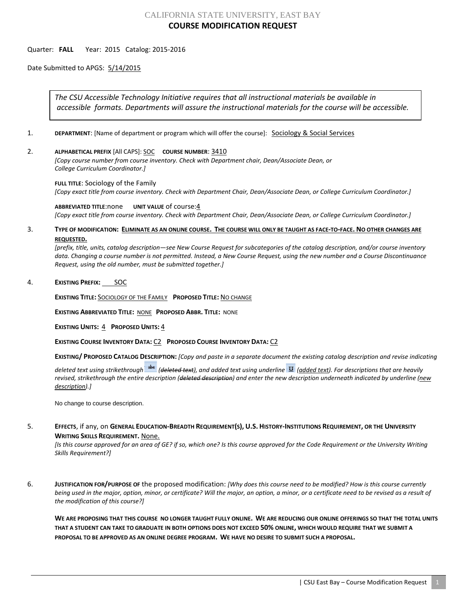# CALIFORNIA STATE UNIVERSITY, EAST BAY **COURSE MODIFICATION REQUEST**

## Quarter: **FALL** Year: 2015 Catalog: 2015-2016

Date Submitted to APGS: 5/14/2015

*The CSU Accessible Technology Initiative requires that all instructional materials be available in accessible formats. Departments will assure the instructional materials for the course will be accessible.*

- 1. **DEPARTMENT:** [Name of department or program which will offer the course]: **Sociology & Social Services**
- 2. **ALPHABETICAL PREFIX** [All CAPS]: SOC **COURSE NUMBER**: 3410

*[Copy course number from course inventory. Check with Department chair, Dean/Associate Dean, or College Curriculum Coordinator.]* 

#### **FULL TITLE**: Sociology of the Family

*[Copy exact title from course inventory. Check with Department Chair, Dean/Associate Dean, or College Curriculum Coordinator.]*

**ABBREVIATED TITLE**:none **UNIT VALUE** of course:4 *[Copy exact title from course inventory. Check with Department Chair, Dean/Associate Dean, or College Curriculum Coordinator.]*

## 3. **TYPE OF MODIFICATION: ELIMINATE AS AN ONLINE COURSE. THE COURSE WILL ONLY BE TAUGHT AS FACE-TO-FACE. NO OTHER CHANGES ARE REQUESTED.**

*[prefix, title, units, catalog description—see New Course Request for subcategories of the catalog description, and/or course inventory data. Changing a course number is not permitted. Instead, a New Course Request, using the new number and a Course Discontinuance Request, using the old number, must be submitted together.]*

## 4. **EXISTING PREFIX:** SOC

**EXISTING TITLE:** SOCIOLOGY OF THE FAMILY **PROPOSED TITLE:** NO CHANGE

**EXISTING ABBREVIATED TITLE:** NONE **PROPOSED ABBR. TITLE:** NONE

**EXISTING UNITS:** 4 **PROPOSED UNITS:** 4

**EXISTING COURSE INVENTORY DATA:** C2 **PROPOSED COURSE INVENTORY DATA:** C2

**EXISTING/ PROPOSED CATALOG DESCRIPTION:** *[Copy and paste in a separate document the existing catalog description and revise indicating* 

*deleted text using strikethrough (deleted text), and added text using underline (added text). For descriptions that are heavily revised, strikethrough the entire description (deleted description) and enter the new description underneath indicated by underline (new description).]*

No change to course description.

## 5. **EFFECTS**, if any, on **GENERAL EDUCATION-BREADTH REQUIREMENT(S), U.S. HISTORY-INSTITUTIONS REQUIREMENT, OR THE UNIVERSITY WRITING SKILLS REQUIREMENT.** None.

*[Is this course approved for an area of GE? if so, which one? Is this course approved for the Code Requirement or the University Writing Skills Requirement?]*

6. **JUSTIFICATION FOR/PURPOSE OF** the proposed modification: *[Why does this course need to be modified? How is this course currently being used in the major, option, minor, or certificate? Will the major, an option, a minor, or a certificate need to be revised as a result of the modification of this course?]*

**WE ARE PROPOSING THAT THIS COURSE NO LONGER TAUGHT FULLY ONLINE. WE ARE REDUCING OUR ONLINE OFFERINGS SO THAT THE TOTAL UNITS THAT A STUDENT CAN TAKE TO GRADUATE IN BOTH OPTIONS DOES NOT EXCEED 50% ONLINE, WHICH WOULD REQUIRE THAT WE SUBMIT A PROPOSAL TO BE APPROVED AS AN ONLINE DEGREE PROGRAM. WE HAVE NO DESIRE TO SUBMIT SUCH A PROPOSAL.**